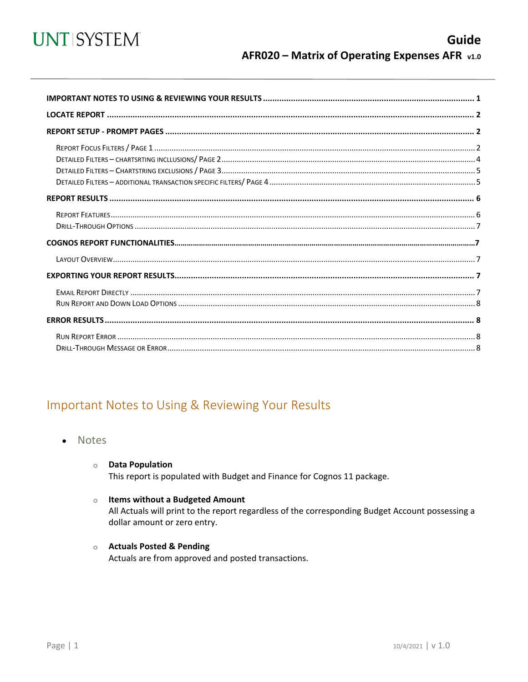

<span id="page-0-0"></span>

## Important Notes to Using & Reviewing Your Results

- **Notes** 
	- **O** Data Population

This report is populated with Budget and Finance for Cognos 11 package.

#### o Items without a Budgeted Amount

All Actuals will print to the report regardless of the corresponding Budget Account possessing a dollar amount or zero entry.

#### o Actuals Posted & Pending

Actuals are from approved and posted transactions.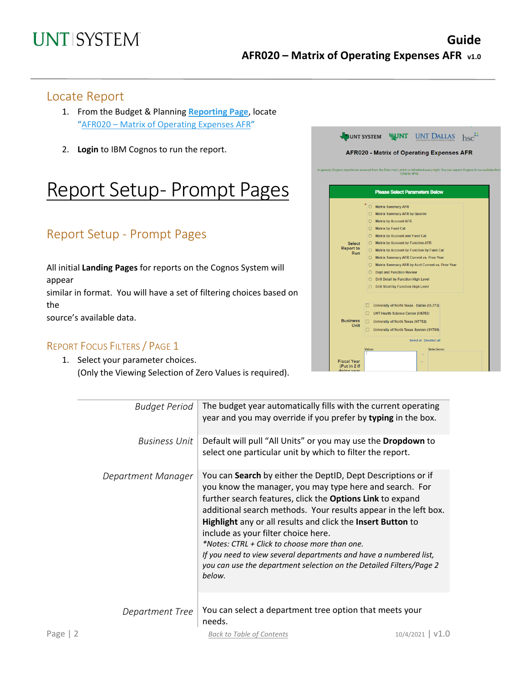### Locate Report

- 1. From the Budget & Planning **[Reporting Page](https://finance.untsystem.edu/reporting)**, locate "AFR020 – [Matrix of Operating Expenses AFR"](https://cognospd.admin.unt.edu/bi/?pathRef=.public_folders%2FAFR%2BReports%2FAFR020%2B-%2BMatrix%2Bof%2BOperating%2BExpenses%2BAFR)
- 2. **Login** to IBM Cognos to run the report.

## Report Setup- Prompt Page

## Report Setup - Prompt Pages

All initial Landing Pages for reports on the Cognos System will appear similar in format. You will have a set of filtering choices base the source's available data.

#### REPORT FOCUS FILTERS / PAGE 1

1. Select your parameter choices. (Only the Viewing Selection of Zero Values is require

| ognos to run the report.                       |                                                                                                                                 |                                          | <b>AFR020 - Matrix of Operating Expenses AFR</b>                                                                                                                                                                                                                            |
|------------------------------------------------|---------------------------------------------------------------------------------------------------------------------------------|------------------------------------------|-----------------------------------------------------------------------------------------------------------------------------------------------------------------------------------------------------------------------------------------------------------------------------|
|                                                | tup- Prompt Pages                                                                                                               |                                          | In general, Cognos reports are sourced from the Data mart, which is refreshed every night. You can expect Cognos to be available fron<br>12AM to 9PM<br><b>Please Select Parameters Below</b>                                                                               |
| Prompt Pages                                   |                                                                                                                                 | <b>Select</b><br><b>Report to</b><br>Run | O Matrix Summary AFR<br><b>O</b> Matrix Summary AFR by Quarter<br><b>Matrix by Account AFR</b><br>$\circ$<br><b>Matrix by Fund Cat</b><br>Ο.<br><b>Matrix by Account and Fund Cat</b><br>◯ Matrix by Account by Function AFR<br>◯ Matrix by Account by Function by Fund Cat |
| <b>s</b> for reports on the Cognos System will |                                                                                                                                 |                                          | <b>O</b> Matrix Summary AFR Current vs. Prior Year<br>Matrix Summary AFR by Acct Current vs. Prior Year<br><b>O</b> Dept and Function Review<br><b>Drill Detail by Function High Level</b><br>O Drill Short by Function High Level                                          |
|                                                | will have a set of filtering choices based on                                                                                   | <b>Business</b><br>Unit                  | University of North Texas - Dallas (DL773)<br><b>UNT Health Science Center (HS763)</b><br>University of North Texas (NT752)<br>University of North Texas System (SY769)                                                                                                     |
| RS / PAGE 1<br>rameter choices.                | ing Selection of Zero Values is required).                                                                                      | Fiscal Year<br>(Put in 2 if              | Select all Deselect all<br><b>Selections</b><br>Value                                                                                                                                                                                                                       |
| <b>Budget Period</b>                           | The budget year automatically fills with the current operating<br>year and you may override if you prefer by typing in the box. |                                          |                                                                                                                                                                                                                                                                             |

JUNT SYSTEM WINT UNT DALLAS hsc<sup>::</sup>

|                    | year and you may override if you prefer by typing in the box.                                                                                                                                                                                                                                                                                                                                                                                                                                                                                                               |                      |
|--------------------|-----------------------------------------------------------------------------------------------------------------------------------------------------------------------------------------------------------------------------------------------------------------------------------------------------------------------------------------------------------------------------------------------------------------------------------------------------------------------------------------------------------------------------------------------------------------------------|----------------------|
| Business Unit      | Default will pull "All Units" or you may use the Dropdown to<br>select one particular unit by which to filter the report.                                                                                                                                                                                                                                                                                                                                                                                                                                                   |                      |
| Department Manager | You can Search by either the DeptID, Dept Descriptions or if<br>you know the manager, you may type here and search. For<br>further search features, click the <b>Options Link</b> to expand<br>additional search methods. Your results appear in the left box.<br>Highlight any or all results and click the Insert Button to<br>include as your filter choice here.<br>*Notes: CTRL + Click to choose more than one.<br>If you need to view several departments and have a numbered list,<br>you can use the department selection on the Detailed Filters/Page 2<br>below. |                      |
| Department Tree    | You can select a department tree option that meets your<br>needs.                                                                                                                                                                                                                                                                                                                                                                                                                                                                                                           |                      |
| Page   $2$         | <b>Back to Table of Contents</b>                                                                                                                                                                                                                                                                                                                                                                                                                                                                                                                                            | $10/4/2021$   $V1.0$ |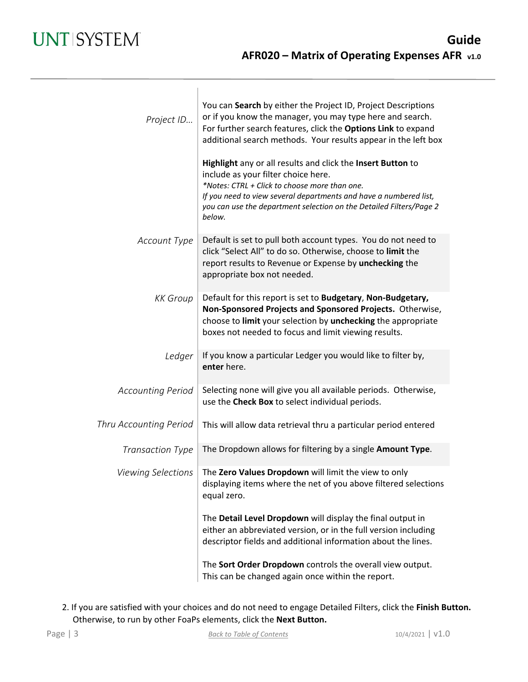$\overline{a}$ 

| Project ID                    | You can Search by either the Project ID, Project Descriptions<br>or if you know the manager, you may type here and search.<br>For further search features, click the Options Link to expand<br>additional search methods. Your results appear in the left box                                             |
|-------------------------------|-----------------------------------------------------------------------------------------------------------------------------------------------------------------------------------------------------------------------------------------------------------------------------------------------------------|
|                               | Highlight any or all results and click the Insert Button to<br>include as your filter choice here.<br>*Notes: CTRL + Click to choose more than one.<br>If you need to view several departments and have a numbered list,<br>you can use the department selection on the Detailed Filters/Page 2<br>below. |
| <b>Account Type</b>           | Default is set to pull both account types. You do not need to<br>click "Select All" to do so. Otherwise, choose to limit the<br>report results to Revenue or Expense by unchecking the<br>appropriate box not needed.                                                                                     |
| <b>KK</b> Group               | Default for this report is set to Budgetary, Non-Budgetary,<br>Non-Sponsored Projects and Sponsored Projects. Otherwise,<br>choose to limit your selection by unchecking the appropriate<br>boxes not needed to focus and limit viewing results.                                                          |
| Ledger                        | If you know a particular Ledger you would like to filter by,<br>enter here.                                                                                                                                                                                                                               |
| <b>Accounting Period</b>      | Selecting none will give you all available periods. Otherwise,<br>use the Check Box to select individual periods.                                                                                                                                                                                         |
| <b>Thru Accounting Period</b> | This will allow data retrieval thru a particular period entered                                                                                                                                                                                                                                           |
| <b>Transaction Type</b>       | The Dropdown allows for filtering by a single Amount Type.                                                                                                                                                                                                                                                |
| Viewing Selections            | The Zero Values Dropdown will limit the view to only<br>displaying items where the net of you above filtered selections<br>equal zero.                                                                                                                                                                    |
|                               | The Detail Level Dropdown will display the final output in<br>either an abbreviated version, or in the full version including<br>descriptor fields and additional information about the lines.                                                                                                            |
|                               | The Sort Order Dropdown controls the overall view output.<br>This can be changed again once within the report.                                                                                                                                                                                            |

2. If you are satisfied with your choices and do not need to engage Detailed Filters, click the **Finish Button.** Otherwise, to run by other FoaPs elements, click the **Next Button.**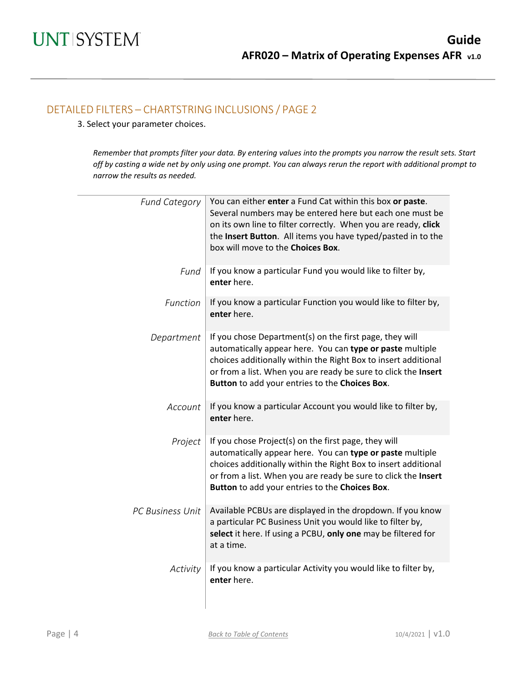### DETAILED FILTERS – CHARTSTRING INCLUSIONS / PAGE 2

3. Select your parameter choices.

*Remember that prompts filter your data. By entering values into the prompts you narrow the result sets. Start off by casting a wide net by only using one prompt. You can always rerun the report with additional prompt to narrow the results as needed.*

| <b>Fund Category</b>    | You can either enter a Fund Cat within this box or paste.<br>Several numbers may be entered here but each one must be<br>on its own line to filter correctly. When you are ready, click<br>the Insert Button. All items you have typed/pasted in to the<br>box will move to the Choices Box.               |
|-------------------------|------------------------------------------------------------------------------------------------------------------------------------------------------------------------------------------------------------------------------------------------------------------------------------------------------------|
| Fund                    | If you know a particular Fund you would like to filter by,<br>enter here.                                                                                                                                                                                                                                  |
| Function                | If you know a particular Function you would like to filter by,<br>enter here.                                                                                                                                                                                                                              |
| Department              | If you chose Department(s) on the first page, they will<br>automatically appear here. You can type or paste multiple<br>choices additionally within the Right Box to insert additional<br>or from a list. When you are ready be sure to click the Insert<br>Button to add your entries to the Choices Box. |
| Account                 | If you know a particular Account you would like to filter by,<br>enter here.                                                                                                                                                                                                                               |
| Project                 | If you chose Project(s) on the first page, they will<br>automatically appear here. You can type or paste multiple<br>choices additionally within the Right Box to insert additional<br>or from a list. When you are ready be sure to click the Insert<br>Button to add your entries to the Choices Box.    |
| <b>PC Business Unit</b> | Available PCBUs are displayed in the dropdown. If you know<br>a particular PC Business Unit you would like to filter by,<br>select it here. If using a PCBU, only one may be filtered for<br>at a time.                                                                                                    |
| Activity                | If you know a particular Activity you would like to filter by,<br>enter here.                                                                                                                                                                                                                              |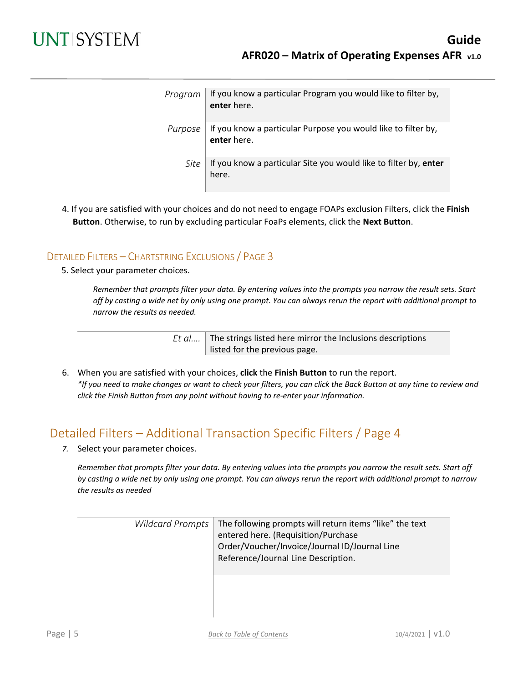

| Program | If you know a particular Program you would like to filter by,<br>enter here. |
|---------|------------------------------------------------------------------------------|
| Purpose | If you know a particular Purpose you would like to filter by,<br>enter here. |
| Site    | If you know a particular Site you would like to filter by, enter<br>here.    |

4. If you are satisfied with your choices and do not need to engage FOAPs exclusion Filters, click the **Finish Button**. Otherwise, to run by excluding particular FoaPs elements, click the **Next Button**.

#### DETAILED FILTERS – CHARTSTRING EXCLUSIONS / PAGE 3

5. Select your parameter choices.

*Remember that prompts filter your data. By entering values into the prompts you narrow the result sets. Start off by casting a wide net by only using one prompt. You can always rerun the report with additional prompt to narrow the results as needed.*

> *Et al....* The strings listed here mirror the Inclusions descriptions listed for the previous page.

6. When you are satisfied with your choices, **click** the **Finish Button** to run the report. *\*If you need to make changes or want to check your filters, you can click the Back Button at any time to review and click the Finish Button from any point without having to re-enter your information.*

### Detailed Filters – Additional Transaction Specific Filters / Page 4

*7.* Select your parameter choices.

*Remember that prompts filter your data. By entering values into the prompts you narrow the result sets. Start off by casting a wide net by only using one prompt. You can always rerun the report with additional prompt to narrow the results as needed*

| <b>Wildcard Prompts</b> | The following prompts will return items "like" the text<br>entered here. (Requisition/Purchase<br>Order/Voucher/Invoice/Journal ID/Journal Line<br>Reference/Journal Line Description. |
|-------------------------|----------------------------------------------------------------------------------------------------------------------------------------------------------------------------------------|
|                         |                                                                                                                                                                                        |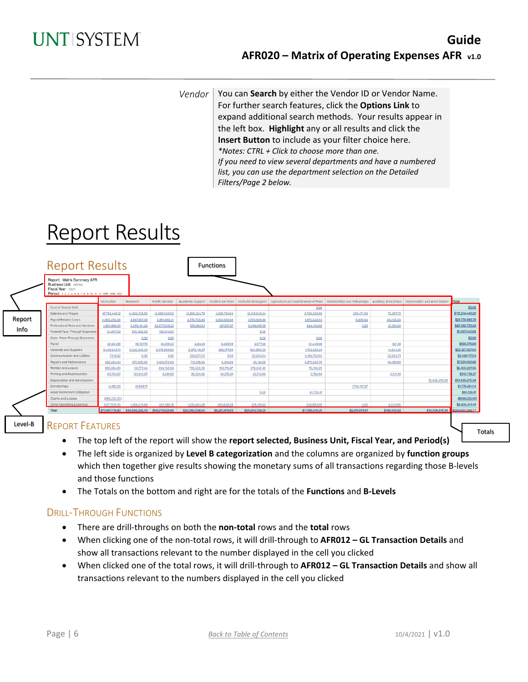*Vendor* | You can **Search** by either the Vendor ID or Vendor Name. For further search features, click the **Options Link** to expand additional search methods. Your results appear in the left box. **Highlight** any or all results and click the **Insert Button** to include as your filter choice here. *\*Notes: CTRL + Click to choose more than one. If you need to view several departments and have a numbered list, you can use the department selection on the Detailed Filters/Page 2 below.*

# Report Results

|        | <b>Report Results</b>                                                                                                                          |               |                                                 |                |                 | <b>Functions</b> |                 |                                                                                                                                                                                    |                |              |                 |                  |
|--------|------------------------------------------------------------------------------------------------------------------------------------------------|---------------|-------------------------------------------------|----------------|-----------------|------------------|-----------------|------------------------------------------------------------------------------------------------------------------------------------------------------------------------------------|----------------|--------------|-----------------|------------------|
|        | Report: Matrix Summary AFR<br><b>Business Unit: HS763</b><br>Fiscal Year: 2021<br>Period: 1, 2, 3, 4, 5, 6, 7, 8, 9, 10, 11, 12, 998, 906, 992 |               |                                                 |                |                 |                  |                 |                                                                                                                                                                                    |                |              |                 |                  |
|        |                                                                                                                                                | Instruction   | Research                                        | Public Service |                 |                  |                 | Academic Support Student Services Institutional Support Operations and Maintenance of Plant Scholarships and Fellowships Auxiliary Enterprises Depreciation and Amortization 10tal |                |              |                 |                  |
|        | Cost of Goods Sold                                                                                                                             |               |                                                 |                |                 |                  |                 | 0.00                                                                                                                                                                               |                |              |                 | \$0.00           |
|        | Salaries and Wages                                                                                                                             | 47,795,448.12 | 14,932,619.85                                   | 15,990,038.03  | 13,956,524.79   | 4,058,745.64     | 12,410,046.24   | 5,736,253.90                                                                                                                                                                       | 259,471.90     | 75,297.73    |                 | \$115,214,446.20 |
| Report | <b>Payroll Related Costs</b>                                                                                                                   | 11,900,255.06 | 3,967,807.58                                    | 3,981,893.21   | 3,770,703.36    | 1,263,500.68     | 2,873,928,90    | 1,975,343,05                                                                                                                                                                       | 6,309.64       | 35,255.30    |                 | \$29,774,996,78  |
|        | Professional Fees and Services                                                                                                                 | 1,865,988.26  | 6,298,191.45                                    | 32,577,658.32  | 976,960.81      | 107,807.37       | 3,299,697.26    | 944,155.66                                                                                                                                                                         | 0.00           | 12,291.30    |                 | \$46,082,750.43  |
| Info   | Federal Pass-Through Expenses                                                                                                                  | 34,867.63     | 920,463.63                                      | 102,014.63     |                 |                  | 0.00            |                                                                                                                                                                                    |                |              |                 | \$1,057,345.89   |
|        | State Pass-Through Expenses                                                                                                                    |               | 0.00                                            | 0.00           |                 |                  | 0.00            | 0.00                                                                                                                                                                               |                |              |                 | \$0.00           |
|        | Travel                                                                                                                                         | 32,631.86     | 19,737.76                                       | 31,209.32      | 4,514.10        | 3,338.99         | 4,677.56        | 12,448.08                                                                                                                                                                          |                | 821.19       |                 | \$109,378.86     |
|        | Materials and Supplies                                                                                                                         | 3,429,040.74  | 8,555,040.24                                    | 3,378,808.93   | 3,973,118.97    | 388,177.09       | 824,899.29      | 1,763,328.24                                                                                                                                                                       |                | 14,844.13    |                 | \$22,327,257.63  |
|        | Communication and Utilities                                                                                                                    | 7,310.62      | 0.00                                            | 0.00           | 220,877.22      | 0.00             | 32,234.94       | 2,194,759.05                                                                                                                                                                       |                | 33,935.71    |                 | \$2,489,117.54   |
|        | Repairs and Maintenance                                                                                                                        | 586,564.34    | 372,800.66                                      | 1,463,272.06   | 712,318.35      | 6,014.00         | 63,151.60       | 4.072.569.79                                                                                                                                                                       |                | 14,400.00    |                 | \$7,291,090.80   |
|        | Rentals and Leases                                                                                                                             | 980,684.80    | 23,777.54                                       | 234,152.66     | 709,522.26      | 103,715.87       | 276,242.43      | 75,186.39                                                                                                                                                                          |                |              |                 | \$2,403,281.95   |
|        | Printing and Reproduction                                                                                                                      | 62,793.97     | 130,512.87                                      | 6,381.95       | 28,234.36       | 40,079.61        | 40,745.85       | 2,765.56                                                                                                                                                                           |                | 2,221.10     |                 | \$313,735.27     |
|        | Depreciation and Amortization                                                                                                                  |               |                                                 |                |                 |                  |                 |                                                                                                                                                                                    |                |              | 19,436,575.38   | \$19,436,575.38  |
|        | Scholarships                                                                                                                                   | 2,450.00      | 31,906.17                                       |                |                 |                  |                 |                                                                                                                                                                                    | 1,745,197.97   |              |                 | \$1,779,554.14   |
|        | <b>Asset Retirement Obligation</b>                                                                                                             |               |                                                 |                |                 |                  | 0.00            | 61,729.41                                                                                                                                                                          |                |              |                 | \$61,729.41      |
|        | Claims and Losses                                                                                                                              | (588, 232.00) |                                                 |                |                 |                  |                 |                                                                                                                                                                                    |                |              |                 | (\$588,232.00)   |
|        | Other Operating Expenses                                                                                                                       | 4,977,975.40  | 1,405,374.68                                    | 514,496.78     | 1,013,564.28    | 280,600.28       | 375,101.93      | 326,894.08                                                                                                                                                                         | 0.00           | 6,334.06     |                 | \$8,900,341.49   |
|        | Total                                                                                                                                          |               | \$71,087,778.80 \$36,658,232.43 \$58,279,925.89 |                | \$25,366,338,50 | \$6,251,979.53   | \$20,200,726.00 | \$17,165,433.21                                                                                                                                                                    | \$2,010.979.51 | \$195,400.52 | \$19,436,575,38 | \$256,653,369,77 |

#### REPORT FEATURES

Level-B

- The top left of the report will show the **report selected, Business Unit, Fiscal Year, and Period(s)**
- The left side is organized by **Level B categorization** and the columns are organized by **function groups** which then together give results showing the monetary sums of all transactions regarding those B-levels and those functions
- The Totals on the bottom and right are for the totals of the **Functions** and **B-Levels**

#### DRILL-THROUGH FUNCTIONS

- There are drill-throughs on both the **non-total** rows and the **total** rows
- When clicking one of the non-total rows, it will drill-through to **AFR012 – GL Transaction Details** and show all transactions relevant to the number displayed in the cell you clicked
- When clicked one of the total rows, it will drill-through to **AFR012 – GL Transaction Details** and show all transactions relevant to the numbers displayed in the cell you clicked

Totals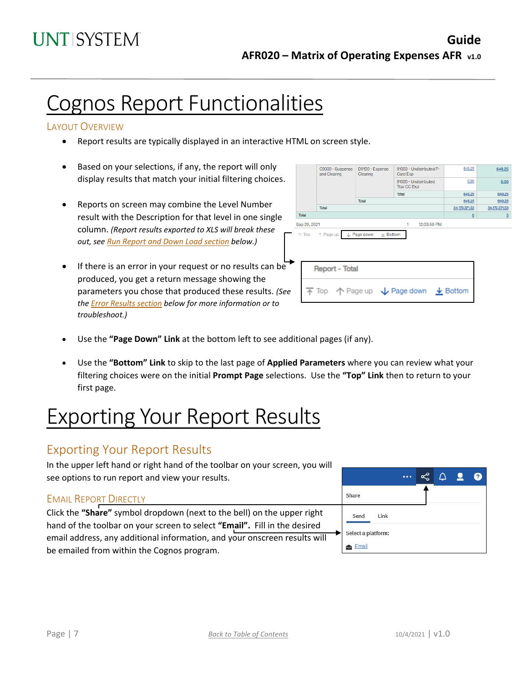# Cognos Report Functionalities

#### LAYOUT OVERVIEW

- Report results are typically displayed in an interactive HTML on screen style.
- Based on your selections, if any, the report will only display results that match your initial filtering choices.
- Reports on screen may combine the Level Number result with the Description for that level in one single column. *(Report results exported to XLS will break these out, see Run Report and Down Load section below.)*
- If there is an error in your request or no results can be produced, you get a return message showing the parameters you chose that produced these results. *(See th[e Error Results section](#page-7-0) below for more information or to troubleshoot.)*

|                         | C9000 - Suspense<br>and Clearing                                                        | D9100 - Expense<br>Clearing    | 91003 - Undistributed P-<br>Card Exp | 649.25                  | 649.25           |
|-------------------------|-----------------------------------------------------------------------------------------|--------------------------------|--------------------------------------|-------------------------|------------------|
|                         |                                                                                         |                                | 91005 - Undistributed<br>Trav CC Exp | 0.00                    | 0.00             |
|                         |                                                                                         |                                | Total                                | 649.25                  | 649.25           |
|                         |                                                                                         | Total                          |                                      | 649.25                  | 649.25           |
|                         | Total                                                                                   |                                |                                      | 34,170,371.53           | 34, 170, 371, 53 |
| Total                   |                                                                                         |                                |                                      | $\overline{\mathbf{0}}$ | $\underline{0}$  |
| Sep 29, 2021            |                                                                                         |                                | 12:03:59 PM<br>1                     |                         |                  |
| $\overline{\wedge}$ Top | $\uparrow$ Page up                                                                      | L Page down<br>$\times$ Bottom |                                      |                         |                  |
|                         | <b>Report - Total</b>                                                                   |                                |                                      |                         |                  |
|                         | $\overline{\uparrow}$ Top $\uparrow$ Page up $\downarrow$ Page down $\downarrow$ Bottom |                                |                                      |                         |                  |
|                         |                                                                                         |                                |                                      |                         |                  |

- Use the **"Page Down" Link** at the bottom left to see additional pages (if any).
- Use the **"Bottom" Link** to skip to the last page of **Applied Parameters** where you can review what your filtering choices were on the initial **Prompt Page** selections. Use the **"Top" Link** then to return to your first page.

# Exporting Your Report Results

## Exporting Your Report Results

In the upper left hand or right hand of the toolbar on your screen, you will see options to run report and view your results.

#### EMAIL REPORT DIRECTLY

Click the **"Share"** symbol dropdown (next to the bell) on the upper right hand of the toolbar on your screen to select **"Email".** Fill in the desired email address, any additional information, and your onscreen results will be emailed from within the Cognos program.

|                    |  | <u>.</u> | 3 |
|--------------------|--|----------|---|
| Share              |  |          |   |
| Send<br>Link       |  |          |   |
| Select a platform: |  |          |   |
| Email              |  |          |   |